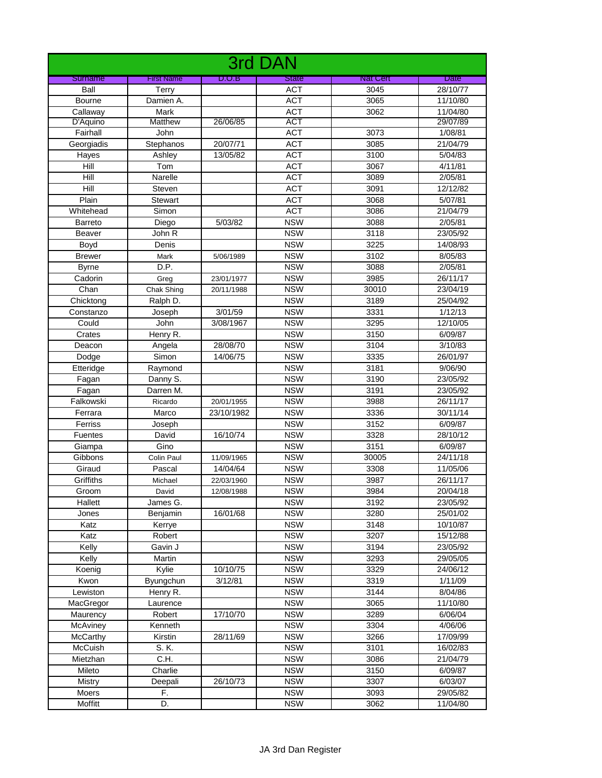| 3rd DAN        |                   |            |              |                 |             |  |
|----------------|-------------------|------------|--------------|-----------------|-------------|--|
| Surname        | <b>First Name</b> | D.O.B      | <b>State</b> | <b>Nat Cert</b> | <b>Date</b> |  |
| Ball           | Terry             |            | <b>ACT</b>   | 3045            | 28/10/77    |  |
| Bourne         | Damien A.         |            | <b>ACT</b>   | 3065            | 11/10/80    |  |
| Callaway       | Mark              |            | <b>ACT</b>   | 3062            | 11/04/80    |  |
| D'Aquino       | <b>Matthew</b>    | 26/06/85   | <b>ACT</b>   |                 | 29/07/89    |  |
| Fairhall       | John              |            | <b>ACT</b>   | 3073            | 1/08/81     |  |
| Georgiadis     | Stephanos         | 20/07/71   | <b>ACT</b>   | 3085            | 21/04/79    |  |
| Hayes          | Ashley            | 13/05/82   | <b>ACT</b>   | 3100            | 5/04/83     |  |
| Hill           | Tom               |            | <b>ACT</b>   | 3067            | 4/11/81     |  |
| Hill           | Narelle           |            | <b>ACT</b>   | 3089            | 2/05/81     |  |
| Hill           | Steven            |            | <b>ACT</b>   | 3091            | 12/12/82    |  |
| Plain          | <b>Stewart</b>    |            | <b>ACT</b>   | 3068            | 5/07/81     |  |
| Whitehead      | Simon             |            | <b>ACT</b>   | 3086            | 21/04/79    |  |
| <b>Barreto</b> | Diego             | 5/03/82    | <b>NSW</b>   | 3088            | 2/05/81     |  |
| <b>Beaver</b>  | John R            |            | <b>NSW</b>   | 3118            | 23/05/92    |  |
| Boyd           | Denis             |            | <b>NSW</b>   | 3225            | 14/08/93    |  |
| <b>Brewer</b>  | Mark              | 5/06/1989  | <b>NSW</b>   | 3102            | 8/05/83     |  |
| <b>Byrne</b>   | D.P.              |            | <b>NSW</b>   | 3088            | 2/05/81     |  |
| Cadorin        | Greg              | 23/01/1977 | <b>NSW</b>   | 3985            | 26/11/17    |  |
| Chan           | Chak Shing        | 20/11/1988 | <b>NSW</b>   | 30010           | 23/04/19    |  |
| Chicktong      | Ralph D.          |            | <b>NSW</b>   | 3189            | 25/04/92    |  |
| Constanzo      | Joseph            | 3/01/59    | <b>NSW</b>   | 3331            | 1/12/13     |  |
| Could          | John              | 3/08/1967  | <b>NSW</b>   | 3295            | 12/10/05    |  |
| Crates         | Henry R.          |            | <b>NSW</b>   | 3150            | 6/09/87     |  |
| Deacon         | Angela            | 28/08/70   | <b>NSW</b>   | 3104            | 3/10/83     |  |
| Dodge          | Simon             | 14/06/75   | <b>NSW</b>   | 3335            | 26/01/97    |  |
| Etteridge      | Raymond           |            | <b>NSW</b>   | 3181            | 9/06/90     |  |
| Fagan          | Danny S.          |            | <b>NSW</b>   | 3190            | 23/05/92    |  |
| Fagan          | Darren M.         |            | <b>NSW</b>   | 3191            | 23/05/92    |  |
| Falkowski      | Ricardo           | 20/01/1955 | <b>NSW</b>   | 3988            | 26/11/17    |  |
| Ferrara        | Marco             | 23/10/1982 | <b>NSW</b>   | 3336            | 30/11/14    |  |
| Ferriss        | Joseph            |            | <b>NSW</b>   | 3152            | 6/09/87     |  |
| <b>Fuentes</b> | David             | 16/10/74   | <b>NSW</b>   | 3328            | 28/10/12    |  |
| Giampa         | Gino              |            | <b>NSW</b>   | 3151            | 6/09/87     |  |
| Gibbons        | Colin Paul        | 11/09/1965 | <b>NSW</b>   | 30005           | 24/11/18    |  |
| Giraud         | Pascal            | 14/04/64   | <b>NSW</b>   | 3308            | 11/05/06    |  |
| Griffiths      | Michael           | 22/03/1960 | <b>NSW</b>   | 3987            | 26/11/17    |  |
| Groom          | David             | 12/08/1988 | <b>NSW</b>   | 3984            | 20/04/18    |  |
| Hallett        | James G.          |            | <b>NSW</b>   | 3192            | 23/05/92    |  |
| Jones          | Benjamin          | 16/01/68   | <b>NSW</b>   | 3280            | 25/01/02    |  |
| Katz           | Kerrye            |            | <b>NSW</b>   | 3148            | 10/10/87    |  |
| Katz           | Robert            |            | <b>NSW</b>   | 3207            | 15/12/88    |  |
| Kelly          | Gavin J           |            | <b>NSW</b>   | 3194            | 23/05/92    |  |
| Kelly          | Martin            |            | <b>NSW</b>   | 3293            | 29/05/05    |  |
| Koenig         | Kylie             | 10/10/75   | <b>NSW</b>   | 3329            | 24/06/12    |  |
| Kwon           | Byungchun         | 3/12/81    | <b>NSW</b>   | 3319            | 1/11/09     |  |
| Lewiston       | Henry R.          |            | <b>NSW</b>   | 3144            | 8/04/86     |  |
| MacGregor      | Laurence          |            | <b>NSW</b>   | 3065            | 11/10/80    |  |
| Maurency       | Robert            | 17/10/70   | <b>NSW</b>   | 3289            | 6/06/04     |  |
| McAviney       | Kenneth           |            | <b>NSW</b>   | 3304            | 4/06/06     |  |
| McCarthy       | Kirstin           | 28/11/69   | <b>NSW</b>   | 3266            | 17/09/99    |  |
| McCuish        | S. K.             |            | <b>NSW</b>   | 3101            | 16/02/83    |  |
| Mietzhan       | C.H.              |            | <b>NSW</b>   | 3086            | 21/04/79    |  |
| Mileto         | Charlie           |            | <b>NSW</b>   | 3150            | 6/09/87     |  |
| Mistry         | Deepali           | 26/10/73   | <b>NSW</b>   | 3307            | 6/03/07     |  |
| Moers          | F.                |            | <b>NSW</b>   | 3093            | 29/05/82    |  |
| Moffitt        | D.                |            | <b>NSW</b>   | 3062            | 11/04/80    |  |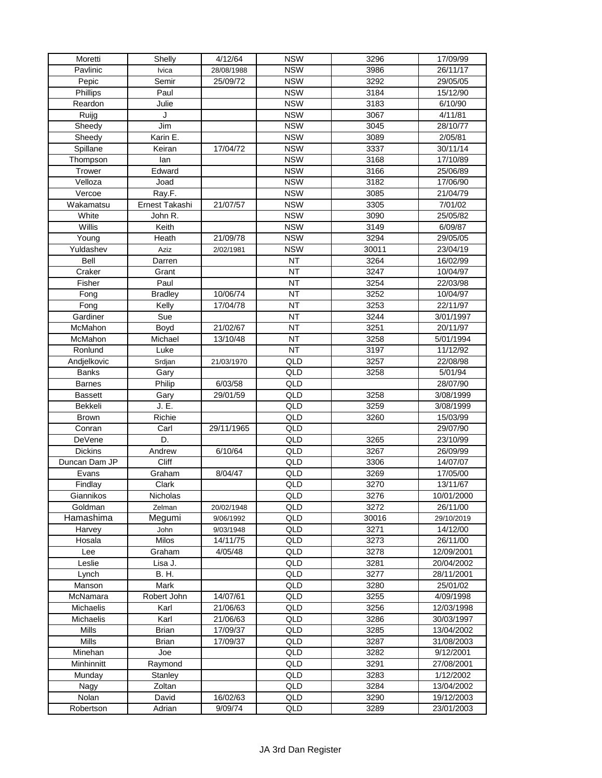| Moretti              | Shelly         | 4/12/64    | <b>NSW</b>      | 3296  | 17/09/99            |
|----------------------|----------------|------------|-----------------|-------|---------------------|
| Pavlinic             | <b>lvica</b>   | 28/08/1988 | <b>NSW</b>      | 3986  | 26/11/17            |
| Pepic                | Semir          | 25/09/72   | <b>NSW</b>      | 3292  | 29/05/05            |
| Phillips             | Paul           |            | <b>NSW</b>      | 3184  | 15/12/90            |
| Reardon              | Julie          |            | <b>NSW</b>      | 3183  | 6/10/90             |
| Ruijg                | J              |            | <b>NSW</b>      | 3067  | 4/11/81             |
| Sheedy               | Jim            |            | <b>NSW</b>      | 3045  | 28/10/77            |
| Sheedy               | Karin E.       |            | <b>NSW</b>      | 3089  | 2/05/81             |
| Spillane             | Keiran         | 17/04/72   | <b>NSW</b>      | 3337  | 30/11/14            |
| Thompson             | lan            |            | <b>NSW</b>      | 3168  | 17/10/89            |
| Trower               | Edward         |            | <b>NSW</b>      | 3166  | 25/06/89            |
| Velloza              | Joad           |            | <b>NSW</b>      | 3182  | 17/06/90            |
| $\overline{V}$ ercoe | Ray.F.         |            | <b>NSW</b>      | 3085  | 21/04/79            |
| Wakamatsu            | Ernest Takashi | 21/07/57   | <b>NSW</b>      | 3305  | 7/01/02             |
| White                |                |            | <b>NSW</b>      | 3090  | 25/05/82            |
| Willis               | John R.        |            | <b>NSW</b>      | 3149  |                     |
|                      | Keith          |            | <b>NSW</b>      |       | 6/09/87<br>29/05/05 |
| Young                | Heath          | 21/09/78   |                 | 3294  |                     |
| Yuldashev            | Aziz           | 2/02/1981  | <b>NSW</b>      | 30011 | 23/04/19            |
| <b>Bell</b>          | Darren         |            | <b>NT</b>       | 3264  | 16/02/99            |
| Craker               | Grant          |            | <b>NT</b>       | 3247  | 10/04/97            |
| Fisher               | Paul           |            | <b>NT</b>       | 3254  | 22/03/98            |
| Fong                 | <b>Bradley</b> | 10/06/74   | <b>NT</b>       | 3252  | 10/04/97            |
| Fong                 | Kelly          | 17/04/78   | $\overline{NT}$ | 3253  | 22/11/97            |
| Gardiner             | Sue            |            | <b>NT</b>       | 3244  | 3/01/1997           |
| McMahon              | Boyd           | 21/02/67   | <b>NT</b>       | 3251  | 20/11/97            |
| McMahon              | Michael        | 13/10/48   | <b>NT</b>       | 3258  | 5/01/1994           |
| Ronlund              | Luke           |            | <b>NT</b>       | 3197  | 11/12/92            |
| Andjelkovic          | Srdjan         | 21/03/1970 | QLD             | 3257  | 22/08/98            |
| <b>Banks</b>         | Gary           |            | QLD             | 3258  | 5/01/94             |
| <b>Barnes</b>        | Philip         | 6/03/58    | QLD             |       | 28/07/90            |
| <b>Bassett</b>       | Gary           | 29/01/59   | QLD             | 3258  | 3/08/1999           |
| Bekkeli              | J. E.          |            | QLD             | 3259  | 3/08/1999           |
| <b>Brown</b>         | Richie         |            | QLD             | 3260  | 15/03/99            |
| Conran               | Carl           | 29/11/1965 | QLD             |       | 29/07/90            |
| <b>DeVene</b>        | D.             |            | QLD             | 3265  | 23/10/99            |
| <b>Dickins</b>       | Andrew         | 6/10/64    | QLD             | 3267  | 26/09/99            |
| Duncan Dam JP        | Cliff          |            | QLD             | 3306  | 14/07/07            |
| Evans                | Graham         | 8/04/47    | QLD             | 3269  | 17/05/00            |
| Findlay              | Clark          |            | QLD             | 3270  | 13/11/67            |
| Giannikos            | Nicholas       |            | QLD             | 3276  | 10/01/2000          |
| Goldman              | Zelman         | 20/02/1948 | QLD             | 3272  | 26/11/00            |
| Hamashima            | Megumi         | 9/06/1992  | QLD             | 30016 | 29/10/2019          |
| Harvey               | John           | 9/03/1948  | QLD             | 3271  | 14/12/00            |
| Hosala               | <b>Milos</b>   | 14/11/75   | QLD             | 3273  | 26/11/00            |
| Lee                  | Graham         | 4/05/48    | QLD             | 3278  | 12/09/2001          |
| Leslie               | Lisa J.        |            | QLD             | 3281  | 20/04/2002          |
| Lynch                | <b>B.H.</b>    |            | QLD             | 3277  | 28/11/2001          |
| Manson               | Mark           |            | QLD             | 3280  | 25/01/02            |
| McNamara             | Robert John    | 14/07/61   | QLD             | 3255  | 4/09/1998           |
| <b>Michaelis</b>     | Karl           | 21/06/63   | QLD             | 3256  | 12/03/1998          |
| Michaelis            | Karl           | 21/06/63   | QLD             | 3286  | 30/03/1997          |
| <b>Mills</b>         | <b>Brian</b>   | 17/09/37   | QLD             | 3285  | 13/04/2002          |
| Mills                | <b>Brian</b>   | 17/09/37   | QLD             | 3287  | 31/08/2003          |
| Minehan              | Joe            |            | QLD             | 3282  | 9/12/2001           |
| Minhinnitt           | Raymond        |            | QLD             | 3291  | 27/08/2001          |
| Munday               | Stanley        |            | QLD             | 3283  | 1/12/2002           |
|                      | Zoltan         |            | QLD             | 3284  | 13/04/2002          |
| Nagy                 |                |            | QLD             | 3290  |                     |
| Nolan                | David          | 16/02/63   |                 |       | 19/12/2003          |
| Robertson            | Adrian         | 9/09/74    | QLD             | 3289  | 23/01/2003          |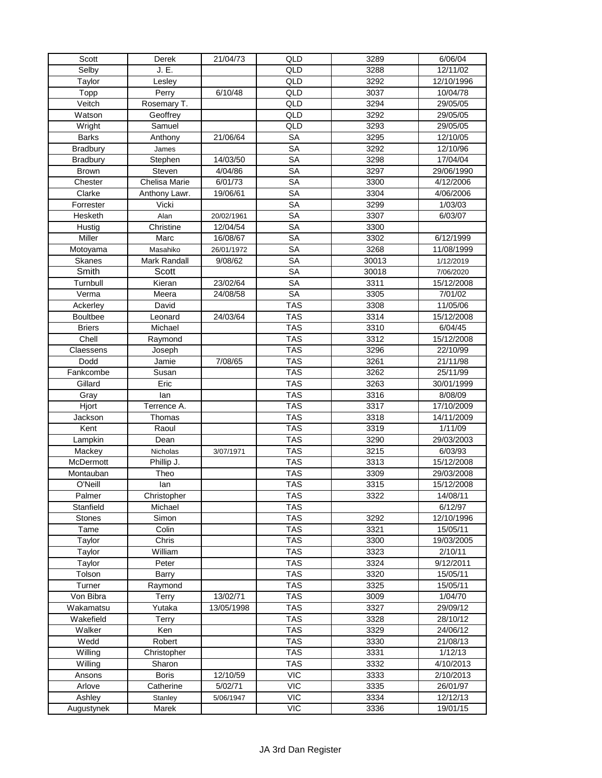| Scott                  | Derek           | 21/04/73             | QLD                     | 3289              | 6/06/04    |
|------------------------|-----------------|----------------------|-------------------------|-------------------|------------|
| Selby                  | J. E.           |                      | QLD                     | 3288              | 12/11/02   |
| Taylor                 | Lesley          |                      | QLD                     | 3292              | 12/10/1996 |
| Topp                   | Perry           | $\frac{1}{6}{10}/48$ | QLD                     | $30\overline{37}$ | 10/04/78   |
| Veitch                 | Rosemary T.     |                      | QLD                     | 3294              | 29/05/05   |
| Watson                 | Geoffrey        |                      | QLD                     | 3292              | 29/05/05   |
| Wright                 | Samuel          |                      | QLD                     | 3293              | 29/05/05   |
| <b>Barks</b>           | Anthony         | 21/06/64             | <b>SA</b>               | 3295              | 12/10/05   |
| <b>Bradbury</b>        | James           |                      | <b>SA</b>               | 3292              | 12/10/96   |
| <b>Bradbury</b>        | Stephen         | 14/03/50             | <b>SA</b>               | 3298              | 17/04/04   |
| Brown                  | Steven          | 4/04/86              | <b>SA</b>               | 3297              | 29/06/1990 |
| Chester                | Chelisa Marie   | $\sqrt{6}/01/73$     | $\overline{\text{SA}}$  | 3300              | 4/12/2006  |
| Clarke                 | Anthony Lawr.   | 19/06/61             | <b>SA</b>               | 3304              | 4/06/2006  |
| Forrester              | Vicki           |                      | <b>SA</b>               | 3299              | 1/03/03    |
| Hesketh                | Alan            | 20/02/1961           | <b>SA</b>               | 3307              | 6/03/07    |
| Hustig                 | Christine       | 12/04/54             | $\overline{\text{SA}}$  | 3300              |            |
| Miller                 | Marc            | 16/08/67             | <b>SA</b>               | 3302              | 6/12/1999  |
| Motoyama               | Masahiko        | 26/01/1972           | <b>SA</b>               | 3268              | 11/08/1999 |
| <b>Skanes</b>          | Mark Randall    | 9/08/62              | <b>SA</b>               | 30013             | 1/12/2019  |
| Smith                  | Scott           |                      | <b>SA</b>               | 30018             | 7/06/2020  |
| Turnbull               | Kieran          | 23/02/64             | <b>SA</b>               | 3311              | 15/12/2008 |
| Verma                  | Meera           | 24/08/58             | <b>SA</b>               | 3305              | 7/01/02    |
| Ackerley               | David           |                      | <b>TAS</b>              | 3308              | 11/05/06   |
| <b>Boultbee</b>        | Leonard         | 24/03/64             | <b>TAS</b>              | 3314              | 15/12/2008 |
|                        | Michael         |                      | <b>TAS</b>              | 3310              | 6/04/45    |
| <b>Briers</b><br>Chell | Raymond         |                      | <b>TAS</b>              | 3312              | 15/12/2008 |
| Claessens              |                 |                      | <b>TAS</b>              | 3296              | 22/10/99   |
| Dodd                   | Joseph<br>Jamie | 7/08/65              | <b>TAS</b>              | 3261              | 21/11/98   |
| Fankcombe              | Susan           |                      | <b>TAS</b>              | 3262              | 25/11/99   |
| Gillard                | Eric            |                      | <b>TAS</b>              | 3263              | 30/01/1999 |
| Gray                   | lan             |                      | <b>TAS</b>              | 3316              | 8/08/09    |
| Hjort                  | Terrence A.     |                      | <b>TAS</b>              | 3317              | 17/10/2009 |
| Jackson                | Thomas          |                      | <b>TAS</b>              | 3318              | 14/11/2009 |
| Kent                   | Raoul           |                      | <b>TAS</b>              | 3319              | 1/11/09    |
| Lampkin                | Dean            |                      | <b>TAS</b>              | 3290              | 29/03/2003 |
| Mackey                 | Nicholas        | 3/07/1971            | <b>TAS</b>              | 3215              | 6/03/93    |
| McDermott              | Phillip J.      |                      | <b>TAS</b>              | 3313              | 15/12/2008 |
| Montauban              | Theo            |                      | <b>TAS</b>              | 3309              | 29/03/2008 |
| O'Neill                | lan             |                      | <b>TAS</b>              | 3315              | 15/12/2008 |
| Palmer                 | Christopher     |                      | TAS                     | 3322              | 14/08/11   |
| Stanfield              | Michael         |                      | <b>TAS</b>              |                   | 6/12/97    |
| <b>Stones</b>          | Simon           |                      | <b>TAS</b>              | 3292              | 12/10/1996 |
| Tame                   | Colin           |                      | <b>TAS</b>              | 3321              | 15/05/11   |
| Taylor                 | Chris           |                      | <b>TAS</b>              | 3300              | 19/03/2005 |
| Taylor                 | William         |                      | <b>TAS</b>              | 3323              | 2/10/11    |
| Taylor                 | Peter           |                      | <b>TAS</b>              | 3324              | 9/12/2011  |
| Tolson                 | Barry           |                      | <b>TAS</b>              | 3320              | 15/05/11   |
| Turner                 | Raymond         |                      | <b>TAS</b>              | 3325              | 15/05/11   |
| Von Bibra              | Terry           | 13/02/71             | <b>TAS</b>              | 3009              | 1/04/70    |
| Wakamatsu              | Yutaka          | 13/05/1998           | <b>TAS</b>              | 3327              | 29/09/12   |
| Wakefield              | Terry           |                      | <b>TAS</b>              | 3328              | 28/10/12   |
| Walker                 | Ken             |                      | $\overline{\text{TAS}}$ | 3329              | 24/06/12   |
| Wedd                   | Robert          |                      | <b>TAS</b>              | 3330              | 21/08/13   |
| Willing                | Christopher     |                      | <b>TAS</b>              | 3331              | 1/12/13    |
| Willing                | Sharon          |                      | <b>TAS</b>              | 3332              | 4/10/2013  |
| Ansons                 | <b>Boris</b>    | 12/10/59             | <b>VIC</b>              | 3333              | 2/10/2013  |
| Arlove                 | Catherine       | 5/02/71              | <b>VIC</b>              | 3335              | 26/01/97   |
| Ashley                 | Stanley         | 5/06/1947            | <b>VIC</b>              | 3334              | 12/12/13   |
| Augustynek             | Marek           |                      | <b>VIC</b>              | 3336              | 19/01/15   |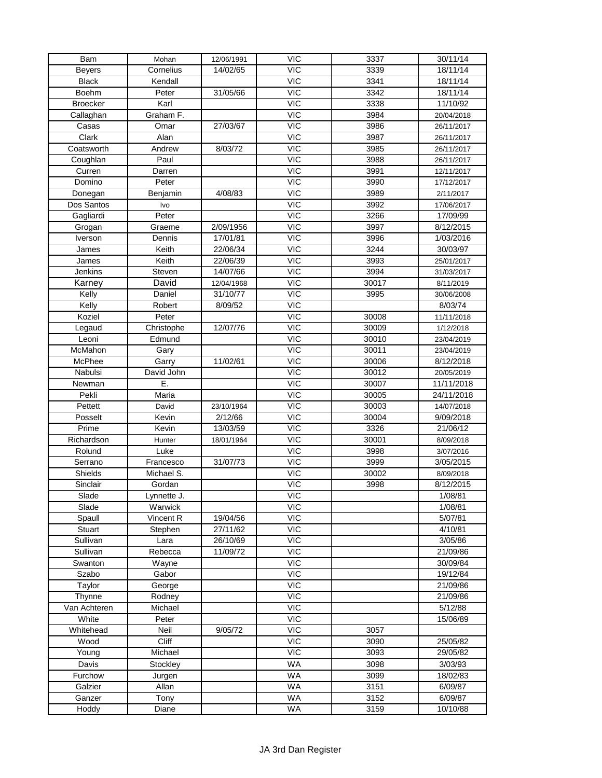| Bam                   | Mohan        | 12/06/1991 | <b>VIC</b>               | 3337  | 30/11/14   |
|-----------------------|--------------|------------|--------------------------|-------|------------|
| <b>Beyers</b>         | Cornelius    | 14/02/65   | <b>VIC</b>               | 3339  | 18/11/14   |
| <b>Black</b>          | Kendall      |            | $\overline{VC}$          | 3341  | 18/11/14   |
| <b>Boehm</b>          | Peter        | 31/05/66   | <b>VIC</b>               | 3342  | 18/11/14   |
| <b>Broecker</b>       | Karl         |            | <b>VIC</b>               | 3338  | 11/10/92   |
| Callaghan             | Graham F.    |            | $\overline{VC}$          | 3984  | 20/04/2018 |
| Casas                 | Omar         | 27/03/67   | <b>VIC</b>               | 3986  | 26/11/2017 |
| Clark                 | Alan         |            | <b>VIC</b>               | 3987  | 26/11/2017 |
| Coatsworth            | Andrew       | 8/03/72    | <b>VIC</b>               | 3985  | 26/11/2017 |
| Coughlan              | Paul         |            | <b>VIC</b>               | 3988  | 26/11/2017 |
| Curren                | Darren       |            | <b>VIC</b>               | 3991  | 12/11/2017 |
| Domino                | Peter        |            | <b>VIC</b>               | 3990  | 17/12/2017 |
|                       | Benjamin     | 4/08/83    | $\overline{VC}$          | 3989  | 2/11/2017  |
| Donegan<br>Dos Santos |              |            | <b>VIC</b>               | 3992  | 17/06/2017 |
|                       | Ivo<br>Peter |            | <b>VIC</b>               | 3266  | 17/09/99   |
| Gagliardi             |              |            |                          |       |            |
| Grogan                | Graeme       | 2/09/1956  | <b>VIC</b><br><b>VIC</b> | 3997  | 8/12/2015  |
| Iverson               | Dennis       | 17/01/81   |                          | 3996  | 1/03/2016  |
| James                 | Keith        | 22/06/34   | <b>VIC</b>               | 3244  | 30/03/97   |
| James                 | Keith        | 22/06/39   | <b>VIC</b>               | 3993  | 25/01/2017 |
| Jenkins               | Steven       | 14/07/66   | <b>VIC</b>               | 3994  | 31/03/2017 |
| Karney                | David        | 12/04/1968 | <b>VIC</b>               | 30017 | 8/11/2019  |
| Kelly                 | Daniel       | 31/10/77   | <b>VIC</b>               | 3995  | 30/06/2008 |
| Kelly                 | Robert       | 8/09/52    | $\overline{VC}$          |       | 8/03/74    |
| Koziel                | Peter        |            | <b>VIC</b>               | 30008 | 11/11/2018 |
| Legaud                | Christophe   | 12/07/76   | <b>VIC</b>               | 30009 | 1/12/2018  |
| Leoni                 | Edmund       |            | $\overline{VC}$          | 30010 | 23/04/2019 |
| McMahon               | Gary         |            | <b>VIC</b>               | 30011 | 23/04/2019 |
| McPhee                | Garry        | 11/02/61   | <b>VIC</b>               | 30006 | 8/12/2018  |
| Nabulsi               | David John   |            | <b>VIC</b>               | 30012 | 20/05/2019 |
| Newman                | Ε.           |            | <b>VIC</b>               | 30007 | 11/11/2018 |
| Pekli                 | Maria        |            | <b>VIC</b>               | 30005 | 24/11/2018 |
| Pettett               | David        | 23/10/1964 | <b>VIC</b>               | 30003 | 14/07/2018 |
| Posselt               | Kevin        | 2/12/66    | $\overline{VC}$          | 30004 | 9/09/2018  |
| Prime                 | Kevin        | 13/03/59   | <b>VIC</b>               | 3326  | 21/06/12   |
| Richardson            | Hunter       | 18/01/1964 | <b>VIC</b>               | 30001 | 8/09/2018  |
| Rolund                | Luke         |            | <b>VIC</b>               | 3998  | 3/07/2016  |
| Serrano               | Francesco    | 31/07/73   | <b>VIC</b>               | 3999  | 3/05/2015  |
| Shields               | Michael S.   |            | <b>VIC</b>               | 30002 | 8/09/2018  |
| Sinclair              | Gordan       |            | <b>VIC</b>               | 3998  | 8/12/2015  |
| Slade                 | Lynnette J.  |            | VIC                      |       | 1/08/81    |
| Slade                 | Warwick      |            | VIC                      |       | 1/08/81    |
| Spaull                | Vincent R    | 19/04/56   | VIC                      |       | 5/07/81    |
| Stuart                | Stephen      | 27/11/62   | $\overline{VC}$          |       | 4/10/81    |
| Sullivan              | Lara         | 26/10/69   | <b>VIC</b>               |       | 3/05/86    |
| Sullivan              | Rebecca      | 11/09/72   | <b>VIC</b>               |       | 21/09/86   |
| Swanton               | Wayne        |            | $\overline{VC}$          |       | 30/09/84   |
| Szabo                 | Gabor        |            | <b>VIC</b>               |       | 19/12/84   |
| Taylor                | George       |            | <b>VIC</b>               |       | 21/09/86   |
| Thynne                | Rodney       |            | <b>VIC</b>               |       | 21/09/86   |
| Van Achteren          | Michael      |            | <b>VIC</b>               |       | 5/12/88    |
| White                 | Peter        |            | VIC                      |       | 15/06/89   |
| Whitehead             | Neil         | 9/05/72    | VIC                      | 3057  |            |
| Wood                  | Cliff        |            | $\overline{VC}$          | 3090  | 25/05/82   |
| Young                 | Michael      |            | <b>VIC</b>               | 3093  | 29/05/82   |
| Davis                 | Stockley     |            | <b>WA</b>                | 3098  | 3/03/93    |
| Furchow               |              |            | <b>WA</b>                | 3099  |            |
|                       | Jurgen       |            |                          |       | 18/02/83   |
| Galzier               | Allan        |            | <b>WA</b>                | 3151  | 6/09/87    |
| Ganzer                | Tony         |            | <b>WA</b>                | 3152  | 6/09/87    |
| Hoddy                 | Diane        |            | WA                       | 3159  | 10/10/88   |